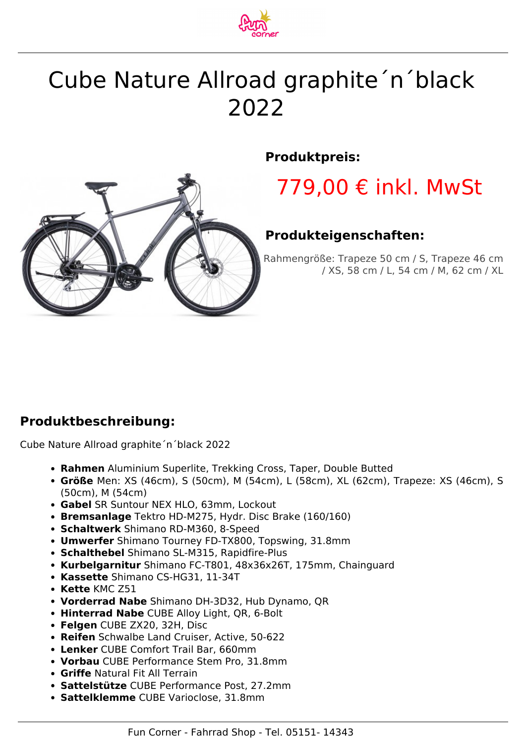

# Cube Nature Allroad graphite´n´black 2022



#### **Produktpreis:**

## 779,00 € inkl. MwSt

### **Produkteigenschaften:**

Rahmengröße: Trapeze 50 cm / S, Trapeze 46 cm / XS, 58 cm / L, 54 cm / M, 62 cm / XL

### **Produktbeschreibung:**

Cube Nature Allroad graphite´n´black 2022

- **Rahmen** Aluminium Superlite, Trekking Cross, Taper, Double Butted
- **Größe** Men: XS (46cm), S (50cm), M (54cm), L (58cm), XL (62cm), Trapeze: XS (46cm), S (50cm), M (54cm)
- **Gabel** SR Suntour NEX HLO, 63mm, Lockout
- **Bremsanlage** Tektro HD-M275, Hydr. Disc Brake (160/160)
- **Schaltwerk** Shimano RD-M360, 8-Speed
- **Umwerfer** Shimano Tourney FD-TX800, Topswing, 31.8mm
- **Schalthebel** Shimano SL-M315, Rapidfire-Plus
- **Kurbelgarnitur** Shimano FC-T801, 48x36x26T, 175mm, Chainguard
- **Kassette** Shimano CS-HG31, 11-34T
- **Kette** KMC Z51
- **Vorderrad Nabe** Shimano DH-3D32, Hub Dynamo, QR
- **Hinterrad Nabe** CUBE Alloy Light, QR, 6-Bolt
- **Felgen** CUBE ZX20, 32H, Disc
- **Reifen** Schwalbe Land Cruiser, Active, 50-622
- **Lenker** CUBE Comfort Trail Bar, 660mm
- **Vorbau** CUBE Performance Stem Pro, 31.8mm
- **Griffe** Natural Fit All Terrain
- **Sattelstütze** CUBE Performance Post, 27.2mm
- **Sattelklemme** CUBE Varioclose, 31.8mm